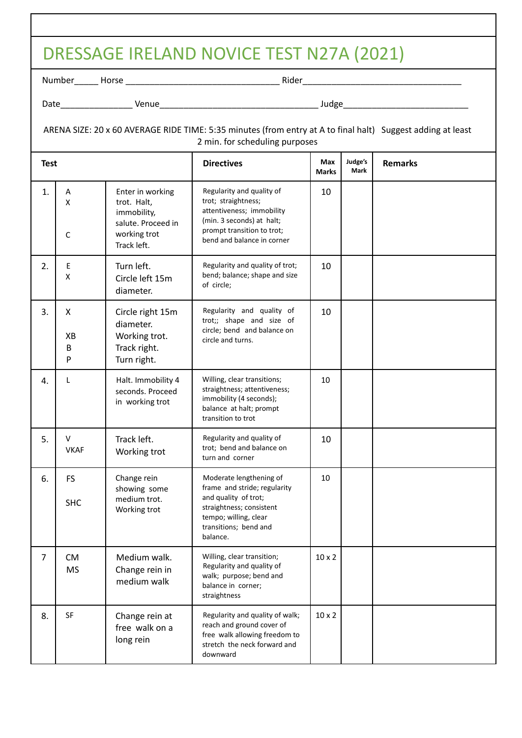|                | DRESSAGE IRELAND NOVICE TEST N27A (2021)                                                                                                      |                                                                                                     |                                                                                                                                                                           |                     |                 |                |  |
|----------------|-----------------------------------------------------------------------------------------------------------------------------------------------|-----------------------------------------------------------------------------------------------------|---------------------------------------------------------------------------------------------------------------------------------------------------------------------------|---------------------|-----------------|----------------|--|
|                |                                                                                                                                               |                                                                                                     |                                                                                                                                                                           |                     |                 |                |  |
|                |                                                                                                                                               |                                                                                                     |                                                                                                                                                                           |                     |                 |                |  |
|                | ARENA SIZE: 20 x 60 AVERAGE RIDE TIME: 5:35 minutes (from entry at A to final halt) Suggest adding at least<br>2 min. for scheduling purposes |                                                                                                     |                                                                                                                                                                           |                     |                 |                |  |
| <b>Test</b>    |                                                                                                                                               |                                                                                                     | <b>Directives</b>                                                                                                                                                         | Max<br><b>Marks</b> | Judge's<br>Mark | <b>Remarks</b> |  |
| 1.             | Α<br>X<br>C                                                                                                                                   | Enter in working<br>trot. Halt,<br>immobility,<br>salute. Proceed in<br>working trot<br>Track left. | Regularity and quality of<br>trot; straightness;<br>attentiveness; immobility<br>(min. 3 seconds) at halt;<br>prompt transition to trot;<br>bend and balance in corner    | 10                  |                 |                |  |
| 2.             | E<br>X                                                                                                                                        | Turn left.<br>Circle left 15m<br>diameter.                                                          | Regularity and quality of trot;<br>bend; balance; shape and size<br>of circle;                                                                                            | 10                  |                 |                |  |
| 3.             | X<br>XB<br>B<br>P                                                                                                                             | Circle right 15m<br>diameter.<br>Working trot.<br>Track right.<br>Turn right.                       | Regularity and quality of<br>trot;; shape and size of<br>circle; bend and balance on<br>circle and turns.                                                                 | 10                  |                 |                |  |
| 4.             | L                                                                                                                                             | Halt. Immobility 4<br>seconds. Proceed<br>in working trot                                           | Willing, clear transitions;<br>straightness; attentiveness;<br>immobility (4 seconds);<br>balance at halt; prompt<br>transition to trot                                   | 10                  |                 |                |  |
| 5.             | V<br><b>VKAF</b>                                                                                                                              | Track left.<br>Working trot                                                                         | Regularity and quality of<br>trot; bend and balance on<br>turn and corner                                                                                                 | 10                  |                 |                |  |
| 6.             | <b>FS</b><br><b>SHC</b>                                                                                                                       | Change rein<br>showing some<br>medium trot.<br>Working trot                                         | Moderate lengthening of<br>frame and stride; regularity<br>and quality of trot;<br>straightness; consistent<br>tempo; willing, clear<br>transitions; bend and<br>balance. | 10                  |                 |                |  |
| $\overline{7}$ | <b>CM</b><br><b>MS</b>                                                                                                                        | Medium walk.<br>Change rein in<br>medium walk                                                       | Willing, clear transition;<br>Regularity and quality of<br>walk; purpose; bend and<br>balance in corner;<br>straightness                                                  | $10 \times 2$       |                 |                |  |
| 8.             | SF                                                                                                                                            | Change rein at<br>free walk on a<br>long rein                                                       | Regularity and quality of walk;<br>reach and ground cover of<br>free walk allowing freedom to<br>stretch the neck forward and<br>downward                                 | $10 \times 2$       |                 |                |  |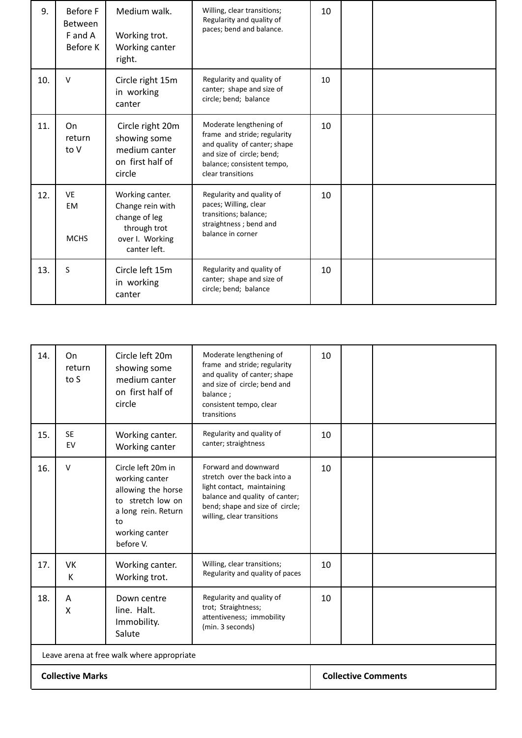| 9.  | <b>Before F</b><br><b>Between</b><br>F and A<br>Before K | Medium walk.<br>Working trot.<br>Working canter<br>right.                                               | Willing, clear transitions;<br>Regularity and quality of<br>paces; bend and balance.                                                                                    | 10 |  |
|-----|----------------------------------------------------------|---------------------------------------------------------------------------------------------------------|-------------------------------------------------------------------------------------------------------------------------------------------------------------------------|----|--|
| 10. | $\vee$                                                   | Circle right 15m<br>in working<br>canter                                                                | Regularity and quality of<br>canter; shape and size of<br>circle; bend; balance                                                                                         | 10 |  |
| 11. | On<br>return<br>to V                                     | Circle right 20m<br>showing some<br>medium canter<br>on first half of<br>circle                         | Moderate lengthening of<br>frame and stride; regularity<br>and quality of canter; shape<br>and size of circle; bend;<br>balance; consistent tempo,<br>clear transitions | 10 |  |
| 12. | <b>VE</b><br><b>EM</b><br><b>MCHS</b>                    | Working canter.<br>Change rein with<br>change of leg<br>through trot<br>over I. Working<br>canter left. | Regularity and quality of<br>paces; Willing, clear<br>transitions; balance;<br>straightness; bend and<br>balance in corner                                              | 10 |  |
| 13. | S                                                        | Circle left 15m<br>in working<br>canter                                                                 | Regularity and quality of<br>canter; shape and size of<br>circle; bend; balance                                                                                         | 10 |  |

| 14.                                        | On<br>return<br>to S | Circle left 20m<br>showing some<br>medium canter<br>on first half of<br>circle                                                              | Moderate lengthening of<br>frame and stride; regularity<br>and quality of canter; shape<br>and size of circle; bend and<br>balance;<br>consistent tempo, clear<br>transitions         | 10 |  |
|--------------------------------------------|----------------------|---------------------------------------------------------------------------------------------------------------------------------------------|---------------------------------------------------------------------------------------------------------------------------------------------------------------------------------------|----|--|
| 15.                                        | <b>SE</b><br>EV      | Working canter.<br>Working canter                                                                                                           | Regularity and quality of<br>canter; straightness                                                                                                                                     | 10 |  |
| 16.                                        | $\vee$               | Circle left 20m in<br>working canter<br>allowing the horse<br>to stretch low on<br>a long rein. Return<br>to<br>working canter<br>before V. | Forward and downward<br>stretch over the back into a<br>light contact, maintaining<br>balance and quality of canter;<br>bend; shape and size of circle;<br>willing, clear transitions | 10 |  |
| 17.                                        | <b>VK</b><br>К       | Working canter.<br>Working trot.                                                                                                            | Willing, clear transitions;<br>Regularity and quality of paces                                                                                                                        | 10 |  |
| 18.                                        | A<br>X               | Down centre<br>line. Halt.<br>Immobility.<br>Salute                                                                                         | Regularity and quality of<br>trot; Straightness;<br>attentiveness; immobility<br>(min. 3 seconds)                                                                                     | 10 |  |
| Leave arena at free walk where appropriate |                      |                                                                                                                                             |                                                                                                                                                                                       |    |  |
| <b>Collective Marks</b>                    |                      |                                                                                                                                             | <b>Collective Comments</b>                                                                                                                                                            |    |  |